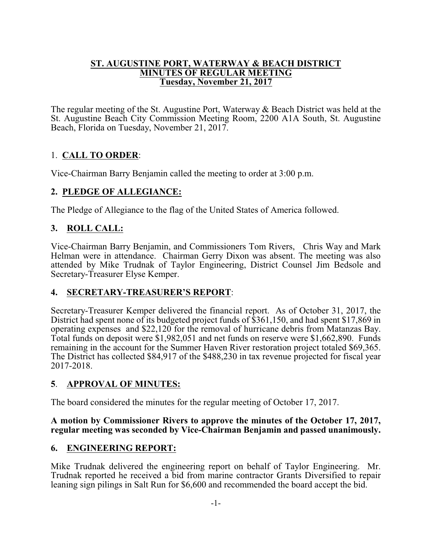#### **ST. AUGUSTINE PORT, WATERWAY & BEACH DISTRICT MINUTES OF REGULAR MEETING Tuesday, November 21, 2017**

The regular meeting of the St. Augustine Port, Waterway & Beach District was held at the St. Augustine Beach City Commission Meeting Room, 2200 A1A South, St. Augustine Beach, Florida on Tuesday, November 21, 2017.

# 1. **CALL TO ORDER**:

Vice-Chairman Barry Benjamin called the meeting to order at 3:00 p.m.

## **2. PLEDGE OF ALLEGIANCE:**

The Pledge of Allegiance to the flag of the United States of America followed.

# **3. ROLL CALL:**

Vice-Chairman Barry Benjamin, and Commissioners Tom Rivers, Chris Way and Mark Helman were in attendance. Chairman Gerry Dixon was absent. The meeting was also attended by Mike Trudnak of Taylor Engineering, District Counsel Jim Bedsole and Secretary-Treasurer Elyse Kemper.

## **4. SECRETARY-TREASURER'S REPORT**:

Secretary-Treasurer Kemper delivered the financial report. As of October 31, 2017, the District had spent none of its budgeted project funds of \$361,150, and had spent \$17,869 in operating expenses and \$22,120 for the removal of hurricane debris from Matanzas Bay. Total funds on deposit were \$1,982,051 and net funds on reserve were \$1,662,890. Funds remaining in the account for the Summer Haven River restoration project totaled \$69,365. The District has collected \$84,917 of the \$488,230 in tax revenue projected for fiscal year 2017-2018.

## **5**. **APPROVAL OF MINUTES:**

The board considered the minutes for the regular meeting of October 17, 2017.

### **A motion by Commissioner Rivers to approve the minutes of the October 17, 2017, regular meeting was seconded by Vice-Chairman Benjamin and passed unanimously.**

## **6. ENGINEERING REPORT:**

Mike Trudnak delivered the engineering report on behalf of Taylor Engineering. Mr. Trudnak reported he received a bid from marine contractor Grants Diversified to repair leaning sign pilings in Salt Run for \$6,600 and recommended the board accept the bid.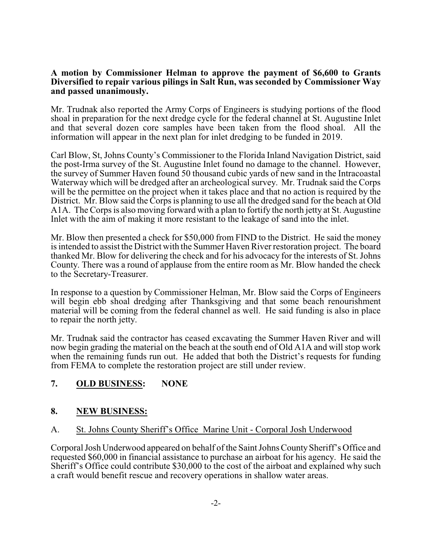#### **A motion by Commissioner Helman to approve the payment of \$6,600 to Grants Diversified to repair various pilings in Salt Run, was seconded by Commissioner Way and passed unanimously.**

Mr. Trudnak also reported the Army Corps of Engineers is studying portions of the flood shoal in preparation for the next dredge cycle for the federal channel at St. Augustine Inlet and that several dozen core samples have been taken from the flood shoal. All the information will appear in the next plan for inlet dredging to be funded in 2019.

Carl Blow, St, Johns County's Commissioner to the Florida Inland Navigation District, said the post-Irma survey of the St. Augustine Inlet found no damage to the channel. However, the survey of Summer Haven found 50 thousand cubic yards of new sand in the Intracoastal Waterway which will be dredged after an archeological survey. Mr. Trudnak said the Corps will be the permittee on the project when it takes place and that no action is required by the District. Mr. Blow said the Corps is planning to use all the dredged sand for the beach at Old A1A. The Corps is also moving forward with a plan to fortify the north jetty at St. Augustine Inlet with the aim of making it more resistant to the leakage of sand into the inlet.

Mr. Blow then presented a check for \$50,000 from FIND to the District. He said the money is intended to assist the District with the Summer Haven River restoration project. The board thanked Mr. Blow for delivering the check and for his advocacy for the interests of St. Johns County. There was a round of applause from the entire room as Mr. Blow handed the check to the Secretary-Treasurer.

In response to a question by Commissioner Helman, Mr. Blow said the Corps of Engineers will begin ebb shoal dredging after Thanksgiving and that some beach renourishment material will be coming from the federal channel as well. He said funding is also in place to repair the north jetty.

Mr. Trudnak said the contractor has ceased excavating the Summer Haven River and will now begin grading the material on the beach at the south end of Old A1A and will stop work when the remaining funds run out. He added that both the District's requests for funding from FEMA to complete the restoration project are still under review.

# **7. OLD BUSINESS: NONE**

### **8. NEW BUSINESS:**

### A. St. Johns County Sheriff's Office Marine Unit - Corporal Josh Underwood

Corporal Josh Underwood appeared on behalf of the Saint Johns CountySheriff's Office and requested \$60,000 in financial assistance to purchase an airboat for his agency. He said the Sheriff's Office could contribute \$30,000 to the cost of the airboat and explained why such a craft would benefit rescue and recovery operations in shallow water areas.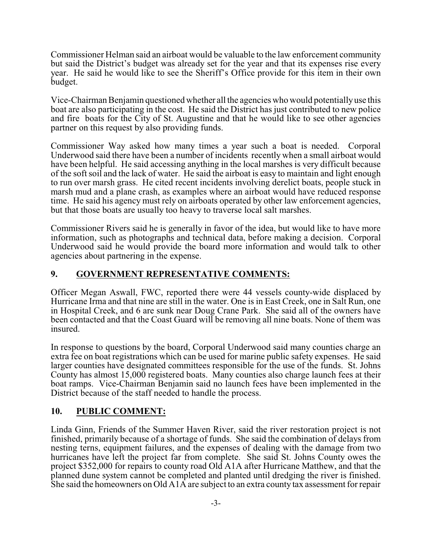Commissioner Helman said an airboat would be valuable to the law enforcement community but said the District's budget was already set for the year and that its expenses rise every year. He said he would like to see the Sheriff's Office provide for this item in their own budget.

Vice-Chairman Benjamin questioned whether all the agencies who would potentiallyuse this boat are also participating in the cost. He said the District has just contributed to new police and fire boats for the City of St. Augustine and that he would like to see other agencies partner on this request by also providing funds.

Commissioner Way asked how many times a year such a boat is needed. Corporal Underwood said there have been a number of incidents recently when a small airboat would have been helpful. He said accessing anything in the local marshes is very difficult because of the soft soil and the lack of water. He said the airboat is easy to maintain and light enough to run over marsh grass. He cited recent incidents involving derelict boats, people stuck in marsh mud and a plane crash, as examples where an airboat would have reduced response time. He said his agency must rely on airboats operated by other law enforcement agencies, but that those boats are usually too heavy to traverse local salt marshes.

Commissioner Rivers said he is generally in favor of the idea, but would like to have more information, such as photographs and technical data, before making a decision. Corporal Underwood said he would provide the board more information and would talk to other agencies about partnering in the expense.

## **9. GOVERNMENT REPRESENTATIVE COMMENTS:**

Officer Megan Aswall, FWC, reported there were 44 vessels county-wide displaced by Hurricane Irma and that nine are still in the water. One is in East Creek, one in Salt Run, one in Hospital Creek, and 6 are sunk near Doug Crane Park. She said all of the owners have been contacted and that the Coast Guard will be removing all nine boats. None of them was insured.

In response to questions by the board, Corporal Underwood said many counties charge an extra fee on boat registrations which can be used for marine public safety expenses. He said larger counties have designated committees responsible for the use of the funds. St. Johns County has almost 15,000 registered boats. Many counties also charge launch fees at their boat ramps. Vice-Chairman Benjamin said no launch fees have been implemented in the District because of the staff needed to handle the process.

### **10. PUBLIC COMMENT:**

Linda Ginn, Friends of the Summer Haven River, said the river restoration project is not finished, primarily because of a shortage of funds. She said the combination of delays from nesting terns, equipment failures, and the expenses of dealing with the damage from two hurricanes have left the project far from complete. She said St. Johns County owes the project \$352,000 for repairs to county road Old A1A after Hurricane Matthew, and that the planned dune system cannot be completed and planted until dredging the river is finished. She said the homeowners on Old A1A are subject to an extra county tax assessment for repair